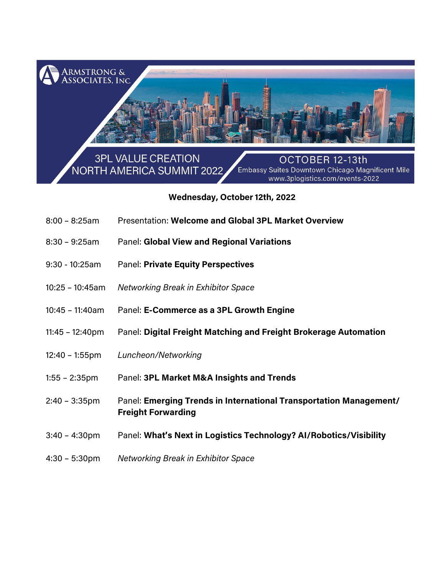

## **Wednesday, October12th, 2022**

- 8:00 8:25am Presentation: **Welcome and Global 3PL Market Overview**
- 8:30 9:25am Panel: **Global View and Regional Variations**
- 9:30 10:25am Panel: **Private Equity Perspectives**
- 10:25 10:45am *Networking Break in Exhibitor Space*
- 10:45 11:40am Panel: **E-Commerce as a 3PL Growth Engine**
- 11:45 12:40pm Panel: **Digital Freight Matching and Freight Brokerage Automation**
- 12:40 1:55pm *Luncheon/Networking*
- 1:55 2:35pm Panel: **3PL Market M&A Insights and Trends**
- 2:40 3:35pm Panel: **Emerging Trends in International Transportation Management/ Freight Forwarding**
- 3:40 4:30pm Panel: **What's Next in Logistics Technology? AI/Robotics/Visibility**
- 4:30 5:30pm *Networking Break in Exhibitor Space*